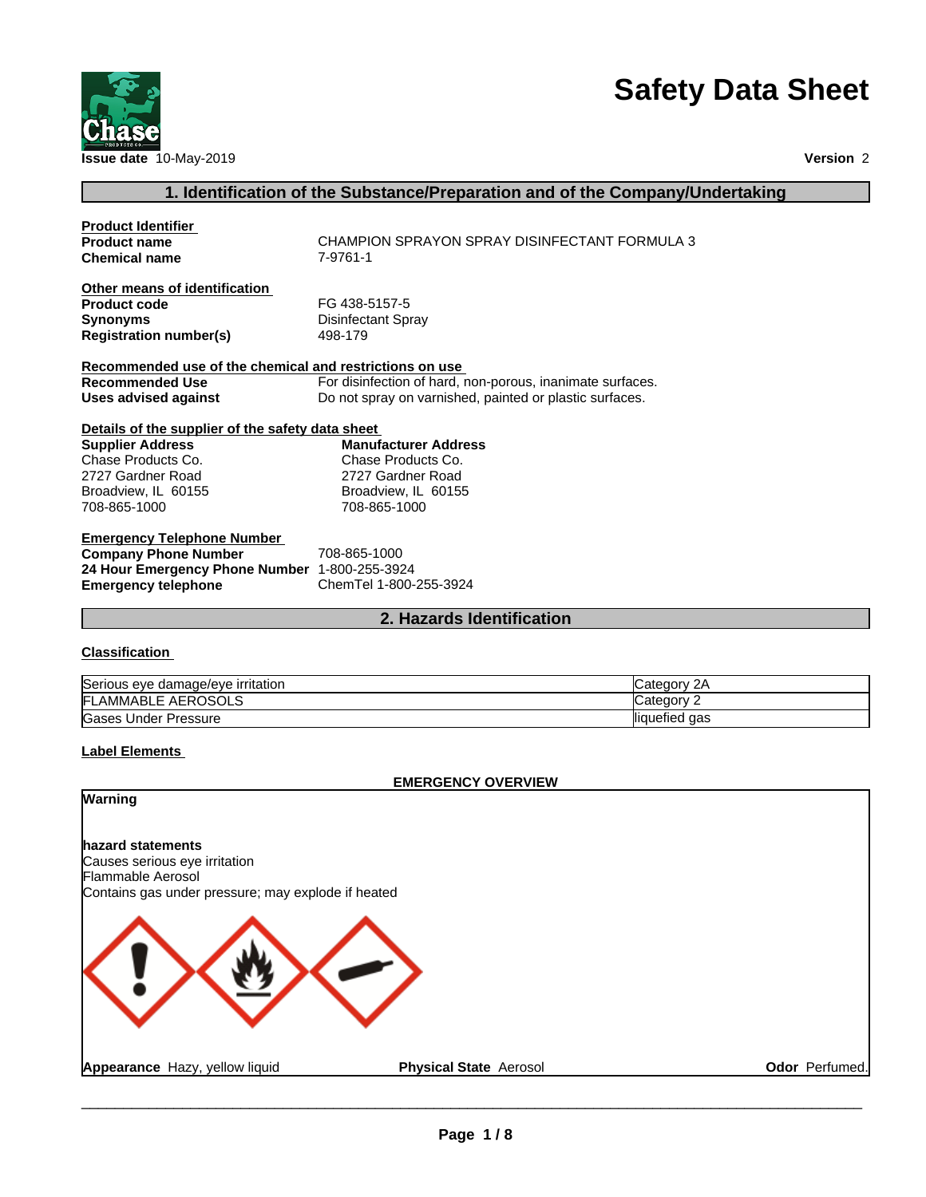

# **Safety Data Sheet**

# **1. Identification of the Substance/Preparation and of the Company/Undertaking**

| <b>Product Identifier</b>                               |                                                           |
|---------------------------------------------------------|-----------------------------------------------------------|
| <b>Product name</b>                                     | CHAMPION SPRAYON SPRAY DISINFECTANT FORMULA 3             |
| <b>Chemical name</b>                                    | 7-9761-1                                                  |
| Other means of identification                           |                                                           |
| <b>Product code</b>                                     | FG 438-5157-5                                             |
| <b>Synonyms</b>                                         | Disinfectant Spray                                        |
| <b>Registration number(s)</b>                           | 498-179                                                   |
| Recommended use of the chemical and restrictions on use |                                                           |
| <b>Recommended Use</b>                                  | For disinfection of hard, non-porous, inanimate surfaces. |
| Uses advised against                                    | Do not spray on varnished, painted or plastic surfaces.   |
| Details of the supplier of the safety data sheet        |                                                           |
| <b>Supplier Address</b>                                 | <b>Manufacturer Address</b>                               |
| Chase Products Co.                                      | Chase Products Co.                                        |
| 2727 Gardner Road                                       | 2727 Gardner Road                                         |
| Broadview, IL 60155                                     | Broadview, IL 60155                                       |
| 708-865-1000                                            | 708-865-1000                                              |
| <b>Emergency Telephone Number</b>                       |                                                           |
| <b>Company Phone Number</b>                             | 708-865-1000                                              |
| 24 Hour Emergency Phone Number 1-800-255-3924           |                                                           |
| <b>Emergency telephone</b>                              | ChemTel 1-800-255-3924                                    |

#### **2. Hazards Identification**

#### **Classification**

| Serious eye damage/eye irritation | 2Α<br>∵ategoryس  |
|-----------------------------------|------------------|
| : AEROSOLS<br><b>IFLAMMABLE</b>   | ∵ategorٽ         |
| Gases<br>. Under Pressure         | liquefied<br>aas |

#### **Label Elements**

#### **EMERGENCY OVERVIEW**

**Warning hazard statements** Causes serious eye irritation Flammable Aerosol Contains gas under pressure; may explode if heated **Appearance** Hazy, yellow liquid **Physical State** Aerosol **Odor** Perfumed.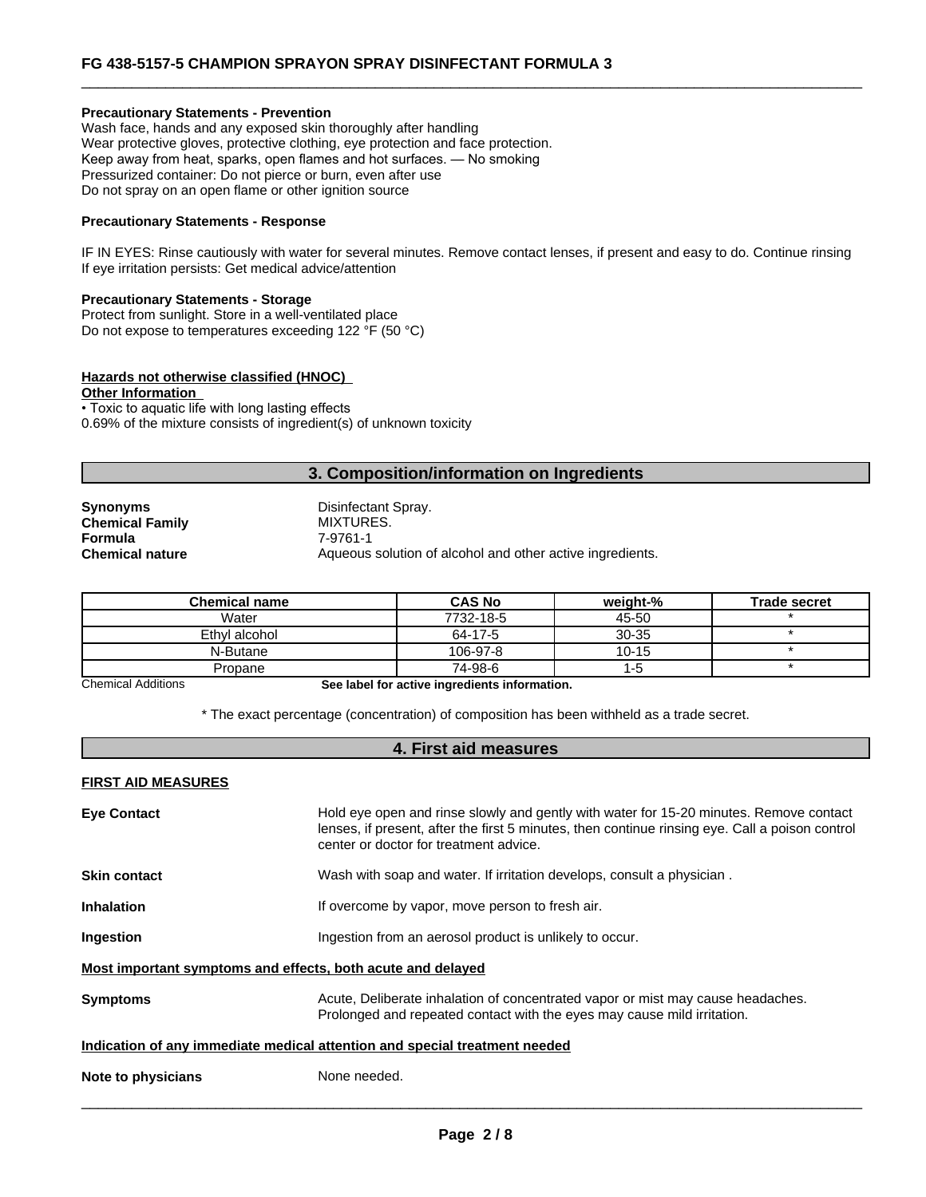#### **Precautionary Statements - Prevention**

Wash face, hands and any exposed skin thoroughly after handling Wear protective gloves, protective clothing, eye protection and face protection. Keep away from heat, sparks, open flames and hot surfaces. — No smoking Pressurized container: Do not pierce or burn, even after use Do not spray on an open flame or other ignition source

#### **Precautionary Statements - Response**

IF IN EYES: Rinse cautiously with water for several minutes. Remove contact lenses, if present and easy to do. Continue rinsing If eye irritation persists: Get medical advice/attention

#### **Precautionary Statements - Storage**

Protect from sunlight. Store in a well-ventilated place Do not expose to temperatures exceeding 122 °F (50 °C)

#### **Hazards not otherwise classified (HNOC)**

**Other Information**

• Toxic to aquatic life with long lasting effects 0.69% of the mixture consists of ingredient(s) of unknown toxicity

#### **3. Composition/information on Ingredients**

**Chemical Family MIXTURES. Formula** 7-9761-1

**Synonyms** Disinfectant Spray. **Chemical nature Aqueous solution of alcohol and other active ingredients.** 

| <b>Chemical name</b> | <b>CAS No</b> | weiaht-%  | <b>Trade secret</b> |
|----------------------|---------------|-----------|---------------------|
| Water                | 7732-18-5     | 45-50     |                     |
| Ethyl alcohol        | 64-17-5       | $30 - 35$ |                     |
| N-Butane             | 106-97-8      | $10 - 15$ |                     |
| Propane              | 74-98-6       | כ- ו      |                     |

Chemical Additions **See label for active ingredients information.**

\* The exact percentage (concentration) ofcomposition has been withheld as a trade secret.

### **4. First aid measures**

#### **FIRST AID MEASURES**

|                    | Most important symptoms and effects, both acute and delayed                                                                                                |
|--------------------|------------------------------------------------------------------------------------------------------------------------------------------------------------|
| <b>Symptoms</b>    | Acute, Deliberate inhalation of concentrated vapor or mist may cause headaches.<br>Prolonged and repeated contact with the eyes may cause mild irritation. |
|                    | Indication of any immediate medical attention and special treatment needed                                                                                 |
| Note to physicians | None needed.                                                                                                                                               |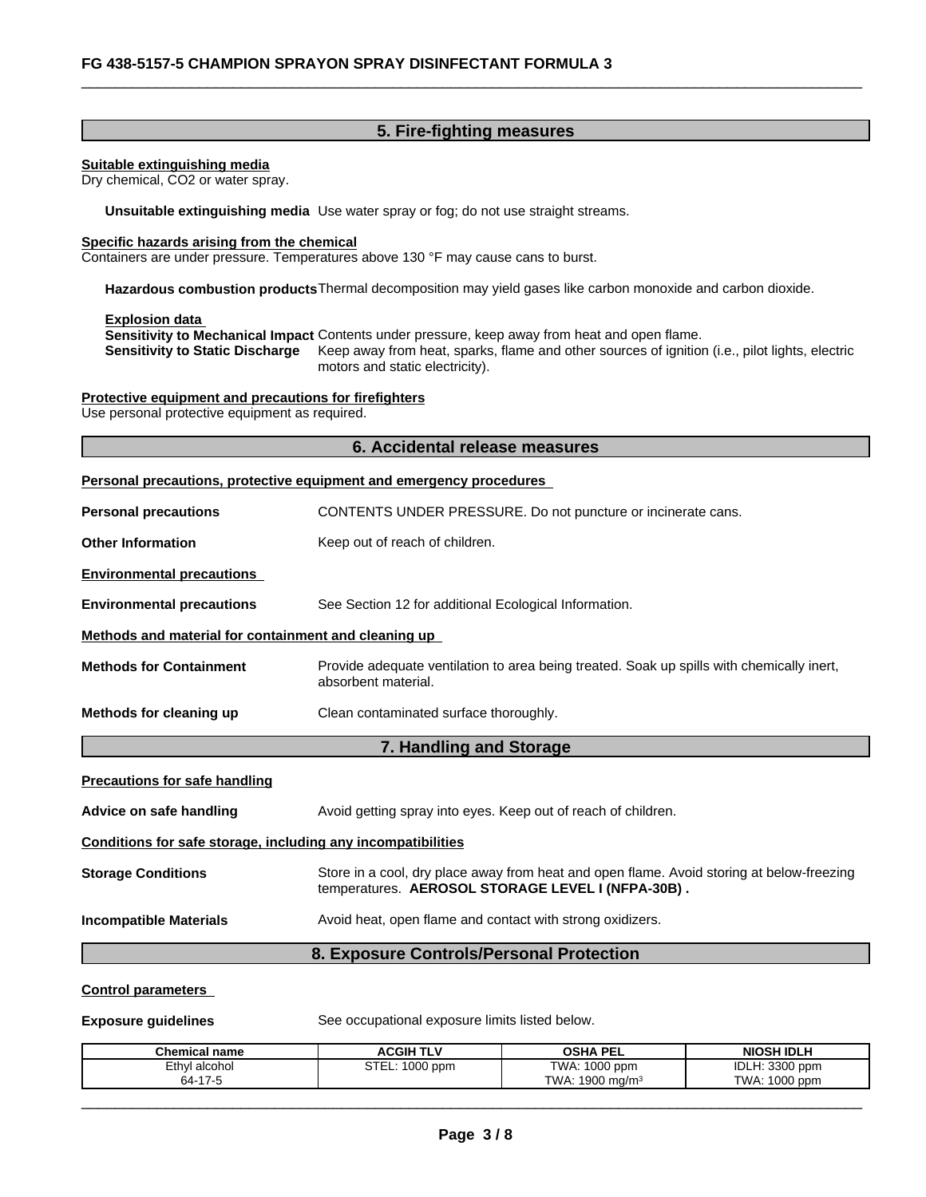#### **5. Fire-fighting measures**

#### **Suitable extinguishing media**

Dry chemical, CO2 or water spray.

**Unsuitable extinguishing media** Use water spray or fog; do not use straight streams.

#### **Specific hazards arising from the chemical**

Containers are under pressure. Temperatures above 130 °F may cause cans to burst.

**Hazardous combustion products**Thermal decomposition may yield gases like carbon monoxide and carbon dioxide.

#### **Explosion data**

**Sensitivity to Mechanical Impact** Contents under pressure, keep away from heat and open flame. **Sensitivity to Static Discharge** Keep away from heat, sparks, flame and other sources of ignition (i.e., pilot lights, electric motors and static electricity).

# **Protective equipment and precautions for firefighters**

Use personal protective equipment as required.

# **6. Accidental release measures Personal precautions, protective equipment and emergency procedures Personal precautions** CONTENTS UNDER PRESSURE. Do not puncture or incinerate cans. **Other Information** Keep out of reach of children. **Environmental precautions Environmental precautions** See Section 12 for additional Ecological Information. **Methods and material for containment and cleaning up Methods for Containment** Provide adequate ventilation to area being treated. Soak up spills with chemically inert, absorbent material. **Methods for cleaning up** Clean contaminated surface thoroughly.**7. Handling and Storage Precautions for safe handling Advice on safe handling Avoid getting spray into eyes. Keep out of reach of children. Conditions for safe storage, including any incompatibilities Storage Conditions** Store in a cool, dry place away from heat and open flame. Avoid storing at below-freezing temperatures. **AEROSOL STORAGE LEVEL I (NFPA-30B) . Incompatible Materials** Avoid heat, open flame and contact with strong oxidizers. **8. Exposure Controls/Personal Protection**

#### **Control parameters**

**Exposure guidelines** See occupational exposure limits listed below.

| <b>Chemical name</b> | <b>ACGIH TLV</b>             | <b>OSHA PEL</b>                  | <b>NIOSH IDLH</b>                |
|----------------------|------------------------------|----------------------------------|----------------------------------|
| Ethvl<br>ˈalcohol    | ~ <del>~</del> ~<br>1000 ppm | $1000$ ppm<br>TWA:               | <b>33UU</b><br>IDLH:<br>3300 ppm |
| $64-17$              |                              | : 1900 ma/m <sup>s</sup><br>TWA: | 1000<br>TWA.<br>opm (            |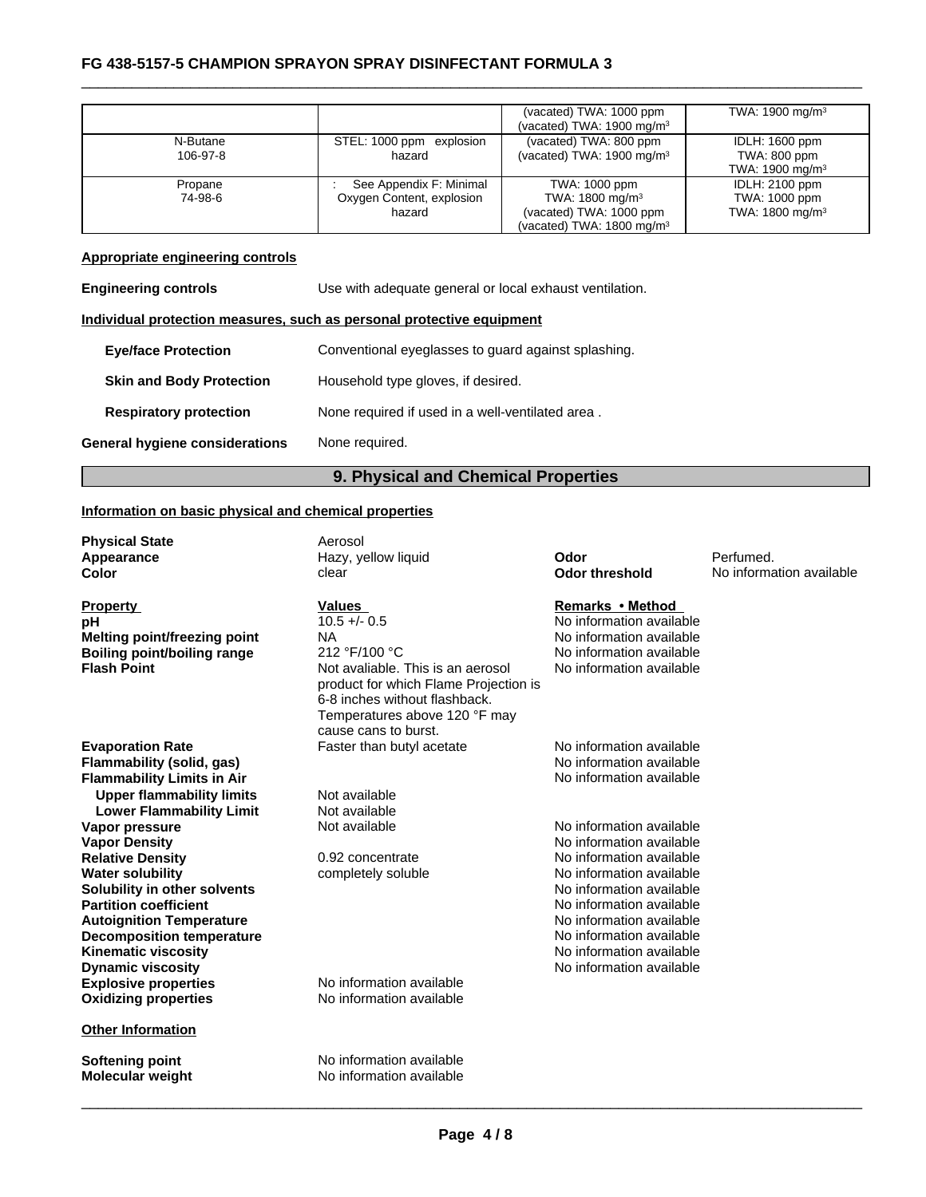### \_\_\_\_\_\_\_\_\_\_\_\_\_\_\_\_\_\_\_\_\_\_\_\_\_\_\_\_\_\_\_\_\_\_\_\_\_\_\_\_\_\_\_\_\_\_\_\_\_\_\_\_\_\_\_\_\_\_\_\_\_\_\_\_\_\_\_\_\_\_\_\_\_\_\_\_\_\_\_\_\_\_\_\_\_\_\_\_\_\_\_\_\_ **FG 438-5157-5 CHAMPION SPRAYON SPRAY DISINFECTANT FORMULA <sup>3</sup>**

|          |                           | (vacated) TWA: 1000 ppm               | TWA: 1900 mg/m <sup>3</sup> |
|----------|---------------------------|---------------------------------------|-----------------------------|
|          |                           | (vacated) TWA: $1900 \text{ mg/m}^3$  |                             |
| N-Butane | STEL: 1000 ppm explosion  | (vacated) TWA: 800 ppm                | IDLH: 1600 ppm              |
| 106-97-8 | hazard                    | (vacated) TWA: $1900 \text{ mg/m}^3$  | TWA: 800 ppm                |
|          |                           |                                       | TWA: 1900 mg/m <sup>3</sup> |
| Propane  | See Appendix F: Minimal   | TWA: 1000 ppm                         | <b>IDLH: 2100 ppm</b>       |
| 74-98-6  | Oxygen Content, explosion | TWA: 1800 mg/m <sup>3</sup>           | TWA: 1000 ppm               |
|          | hazard                    | (vacated) TWA: 1000 ppm               | TWA: 1800 mg/m <sup>3</sup> |
|          |                           | (vacated) TWA: 1800 mg/m <sup>3</sup> |                             |

#### **Appropriate engineering controls**

| Appropriate engineering controls |                                                                       |
|----------------------------------|-----------------------------------------------------------------------|
| <b>Engineering controls</b>      | Use with adequate general or local exhaust ventilation.               |
|                                  | Individual protection measures, such as personal protective equipment |
| <b>Eye/face Protection</b>       | Conventional eyeglasses to guard against splashing.                   |
| <b>Skin and Body Protection</b>  | Household type gloves, if desired.                                    |
| <b>Respiratory protection</b>    | None required if used in a well-ventilated area.                      |
| General hygiene considerations   | None required.                                                        |

#### **9. Physical and Chemical Properties**

#### **Information on basic physical and chemical properties**

| <b>Physical State</b> |  |
|-----------------------|--|
| Appearance            |  |
| Color                 |  |

# **Property**<br> **Property**<br> **Property**<br> **Property**<br> **Property**<br> **Remarks** • Method<br> **PROPERTY**<br> **Remarks** • Method<br> **PROPERTY Melting point/freezing point** NA

**Explosive properties**<br> **Oxidizing properties**<br>
No information available **Oxidizing properties Flammability (solid, gas)**<br> **Flammability Limits in Air**<br> **Flammability Limits in Air Flammability Limits in Air Upper flammability limits** Not available **Lower Flammability Limit** Not available<br>**Property Resumery Contract Not available Vapor pressure** The Contract Not available Not available No information available **Vapor Density No information available No information available Relative Density Density Density 0.92** concentrate **No information available Water solubility water solubility completely soluble No information available Solubility in other solvents intervalsed and** *solubility* **in other solvents** No information available **Partition coefficient coefficient coefficient coefficient coefficient coefficient coefficient coefficient coefficient coefficient coefficient coefficient coefficient coefficient coefficient c Autoignition Temperature No information available No information available Decomposition temperature**  $\blacksquare$  No information available<br> **Kinematic viscosity** No information available **Kinematic viscosity Dynamic viscosity No information available No information available** 

**Other Information**

Aerosol

**pH**<br>
10.5 +/- 0.5 <br> **Melting point/freezing point** MA<br>
No information available **Boiling point/boiling range** 212 °F/100 °C No information available Not avaliable. This is an aerosol No information available product for which Flame Projection is 6-8 inches without flashback. Temperatures above 120 °F may Not avaliable. This is an aerosol No information available<br>product for which Flame Projection is<br>6-8 inches without flashback.<br>Temperatures above 120 °F may<br>cause cans to burst. **Evaporation Rate Rate** Faster than butyl acetate **No** information available

**Softening point** No information available **Molecular weight** No information available

**Hazy, yellow liquid Codor Constanting Codor** Perfumed.<br> **Codor threshold** No information of the **Odor threshold** No information of the **No information Odor threshold** No information available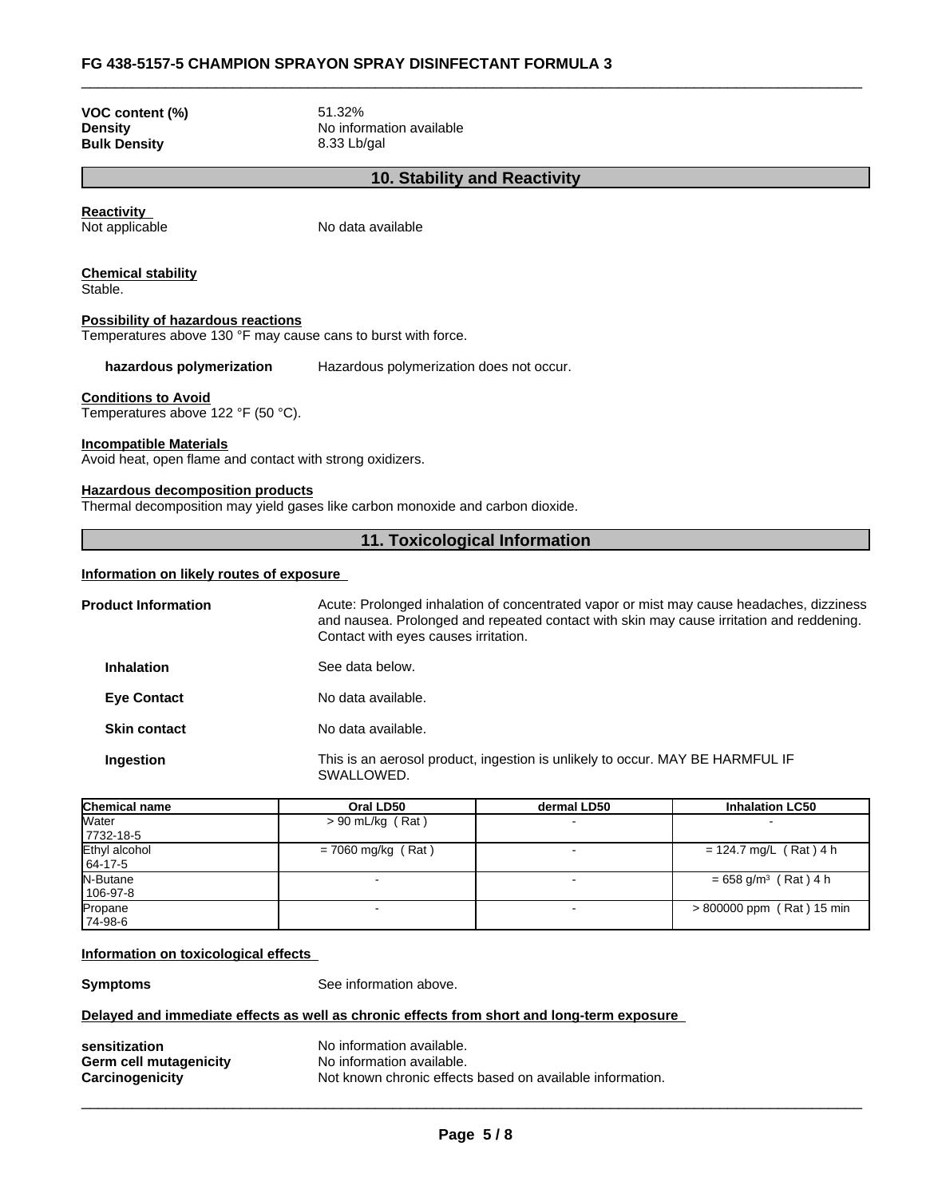#### \_\_\_\_\_\_\_\_\_\_\_\_\_\_\_\_\_\_\_\_\_\_\_\_\_\_\_\_\_\_\_\_\_\_\_\_\_\_\_\_\_\_\_\_\_\_\_\_\_\_\_\_\_\_\_\_\_\_\_\_\_\_\_\_\_\_\_\_\_\_\_\_\_\_\_\_\_\_\_\_\_\_\_\_\_\_\_\_\_\_\_\_\_ **FG 438-5157-5 CHAMPION SPRAYON SPRAY DISINFECTANT FORMULA <sup>3</sup>**

**VOC content (%)** 51.32% **Bulk Density** 8.33 Lb/gal

**Density** No information available

#### **10. Stability and Reactivity**

**Reactivity**<br>Not applicable

No data available

**Chemical stability** Stable.

#### **Possibility of hazardous reactions**

Temperatures above 130 °F may cause cans to burst with force.

**hazardous polymerization** Hazardous polymerization does not occur.

#### **Conditions to Avoid**

Temperatures above 122 °F (50 °C).

#### **Incompatible Materials**

Avoid heat, open flame and contact with strong oxidizers.

#### **Hazardous decomposition products**

Thermal decomposition may yield gases like carbon monoxide and carbon dioxide.

#### **11. Toxicological Information**

#### **Information on likely routes of exposure**

| Acute: Prolonged inhalation of concentrated vapor or mist may cause headaches, dizziness<br>and nausea. Prolonged and repeated contact with skin may cause irritation and reddening.<br>Contact with eyes causes irritation. |
|------------------------------------------------------------------------------------------------------------------------------------------------------------------------------------------------------------------------------|
| See data below.                                                                                                                                                                                                              |
| No data available.                                                                                                                                                                                                           |
| No data available.                                                                                                                                                                                                           |
| This is an aerosol product, ingestion is unlikely to occur. MAY BE HARMFUL IF<br>SWALLOWED.                                                                                                                                  |
|                                                                                                                                                                                                                              |

| Chemical name | Oral LD50            | dermal LD50 | <b>Inhalation LC50</b>             |
|---------------|----------------------|-------------|------------------------------------|
| <b>Water</b>  | $> 90$ mL/kg (Rat)   |             |                                    |
| 7732-18-5     |                      |             |                                    |
| Ethyl alcohol | $= 7060$ mg/kg (Rat) |             | = 124.7 mg/L (Rat) 4 h             |
| 64-17-5       |                      |             |                                    |
| N-Butane      |                      |             | $= 658$ g/m <sup>3</sup> (Rat) 4 h |
| 106-97-8      |                      |             |                                    |
| Propane       |                      |             | > 800000 ppm (Rat) 15 min          |
| 74-98-6       |                      |             |                                    |

#### **Information on toxicological effects**

**Symptoms** See information above.

#### **Delayed and immediate effects as well as chronic effects from short and long-term exposure**

| sensitization          | No information available.                                 |
|------------------------|-----------------------------------------------------------|
| Germ cell mutagenicity | No information available.                                 |
| Carcinogenicity        | Not known chronic effects based on available information. |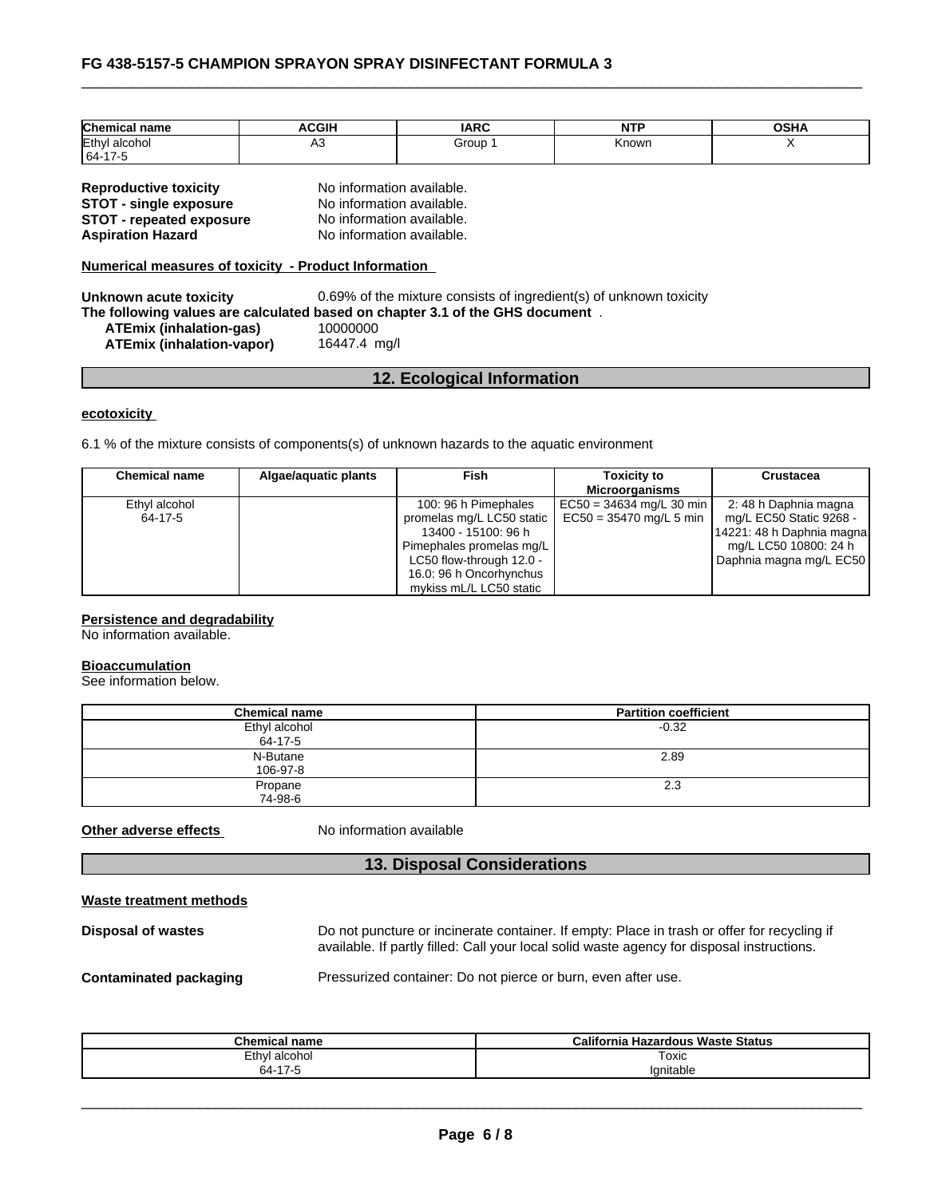| Chemica.<br>∣ name       | <b>ACGIH</b> | <b>IARC</b> | NT'   | OCHA<br>JJN. |
|--------------------------|--------------|-------------|-------|--------------|
| <b>IEthvl</b><br>alcohol | ่∩∪          | Group       | Known |              |
| 164-<br>75.              |              |             |       |              |

| <b>Reproductive toxicity</b>    |
|---------------------------------|
| <b>STOT - single exposure</b>   |
| <b>STOT - repeated exposure</b> |
| <b>Aspiration Hazard</b>        |

**No information available. STOT - single exposure** No information available. **No information available. No information available.** 

**Numerical measures of toxicity - Product Information**

**Unknown acute toxicity** 0.69% of the mixture consists of ingredient(s) of unknown toxicity **The following values are calculated based on chapter 3.1 of the GHS document** . **ATEmix (inhalation-gas)** 10000000 **ATEmix (inhalation-vapor)** 

## **12. Ecological Information**

#### **ecotoxicity**

6.1 % of the mixture consists of components(s) of unknown hazards to the aquatic environment

| <b>Chemical name</b> | Algae/aguatic plants | <b>Fish</b>               | <b>Toxicity to</b>         | <b>Crustacea</b>          |
|----------------------|----------------------|---------------------------|----------------------------|---------------------------|
|                      |                      |                           | Microorganisms             |                           |
| Ethyl alcohol        |                      | 100: 96 h Pimephales      | $EC50 = 34634$ mg/L 30 min | 2: 48 h Daphnia magna     |
| 64-17-5              |                      | promelas mg/L LC50 static | $EC50 = 35470$ mg/L 5 min  | mg/L EC50 Static 9268 -   |
|                      |                      | 13400 - 15100: 96 h       |                            | 14221: 48 h Daphnia magna |
|                      |                      | Pimephales promelas mg/L  |                            | mg/L LC50 10800: 24 h     |
|                      |                      | LC50 flow-through 12.0 -  |                            | Daphnia magna mg/L EC50   |
|                      |                      | 16.0: 96 h Oncorhynchus   |                            |                           |
|                      |                      | mykiss mL/L LC50 static   |                            |                           |

#### **Persistence and degradability**

No information available.

#### **Bioaccumulation**

See information below.

| <b>Chemical name</b> | <b>Partition coefficient</b> |
|----------------------|------------------------------|
| Ethyl alcohol        | $-0.32$                      |
| 64-17-5              |                              |
| N-Butane             | 2.89                         |
| 106-97-8             |                              |
| Propane              | 2.3                          |
| 74-98-6              |                              |

**Other adverse effects** No information available

## **13. Disposal Considerations**

| Waste treatment methods |  |
|-------------------------|--|
|                         |  |

| Disposal of wastes            | Do not puncture or incinerate container. If empty: Place in trash or offer for recycling if<br>available. If partly filled: Call your local solid waste agency for disposal instructions. |
|-------------------------------|-------------------------------------------------------------------------------------------------------------------------------------------------------------------------------------------|
| <b>Contaminated packaging</b> | Pressurized container: Do not pierce or burn, even after use.                                                                                                                             |

| Chemical<br>' name                                                 | California '<br><b>Hazardous Waste Status</b> |
|--------------------------------------------------------------------|-----------------------------------------------|
| Ethyl alcohol                                                      | Toxic                                         |
| $\overline{ }$<br>64-<br>$\overline{\phantom{a}}$<br>$\sim$ $\sim$ | Ignitable                                     |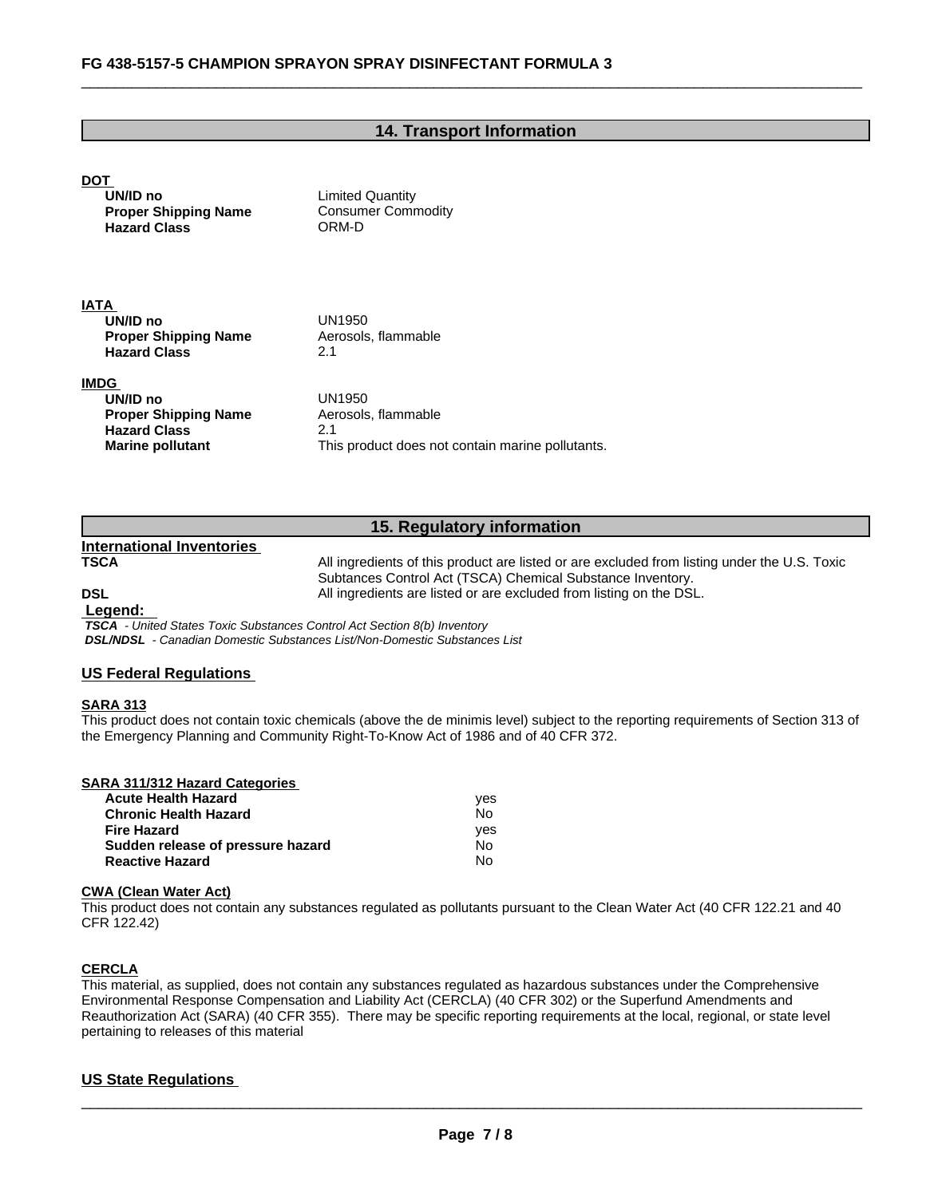#### **14. Transport Information**

# **DOT UN/ID no** Limited Quantity **Proper Shipping Name** Consumer Commodity **Hazard Class** ORM-D **IATA UN/ID no** UN1950 **Proper Shipping Name** Aerosols, flammable **Hazard Class** 2.1 **IMDG UN/ID no** UN1950 **Proper Shipping Name** Aerosols, flammable **Hazard Class** 2.1 **Marine pollutant** This product does not contain marine pollutants.

## **15. Regulatory information**

**International Inventories**

**TSCA** All ingredients of this product are listed or are excluded from listing under the U.S. Toxic Subtances Control Act (TSCA) Chemical Substance Inventory. **DSL COLL COLL All ingredients are listed or are excluded from listing on the DSL.** 

#### **Legend:**

 *TSCA - United States Toxic Substances Control Act Section 8(b) Inventory DSL/NDSL - Canadian Domestic Substances List/Non-Domestic Substances List*

#### **US Federal Regulations**

#### **SARA 313**

This product does not contain toxic chemicals (above the de minimis level) subject to the reporting requirements of Section 313 of the Emergency Planning and Community Right-To-Know Act of 1986 and of 40 CFR 372.

| <b>SARA 311/312 Hazard Categories</b> |     |  |
|---------------------------------------|-----|--|
| <b>Acute Health Hazard</b>            | ves |  |
| <b>Chronic Health Hazard</b>          | No  |  |
| <b>Fire Hazard</b>                    | ves |  |
| Sudden release of pressure hazard     | No  |  |
| <b>Reactive Hazard</b>                | No  |  |

#### **CWA (Clean WaterAct)**

This product does not contain any substances regulated as pollutants pursuant to the Clean Water Act (40 CFR 122.21 and 40 CFR 122.42)

#### **CERCLA**

This material, as supplied, does not contain any substances regulated as hazardous substances under the Comprehensive Environmental Response Compensation and Liability Act (CERCLA) (40 CFR 302) or the Superfund Amendments and Reauthorization Act (SARA) (40 CFR 355). There may be specific reporting requirements at the local, regional, or state level pertaining to releases of this material

#### **US State Regulations**